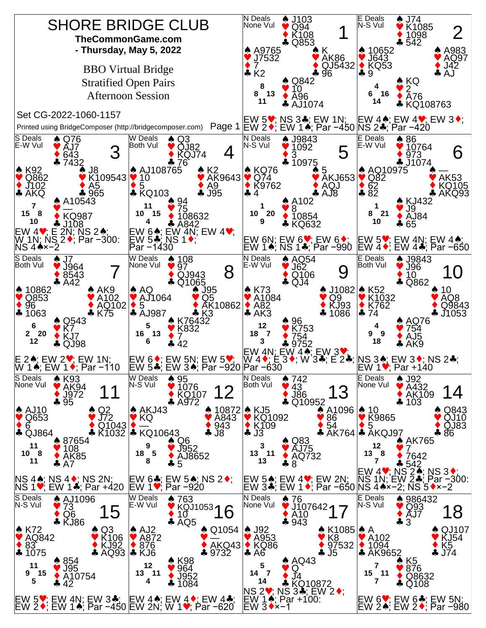